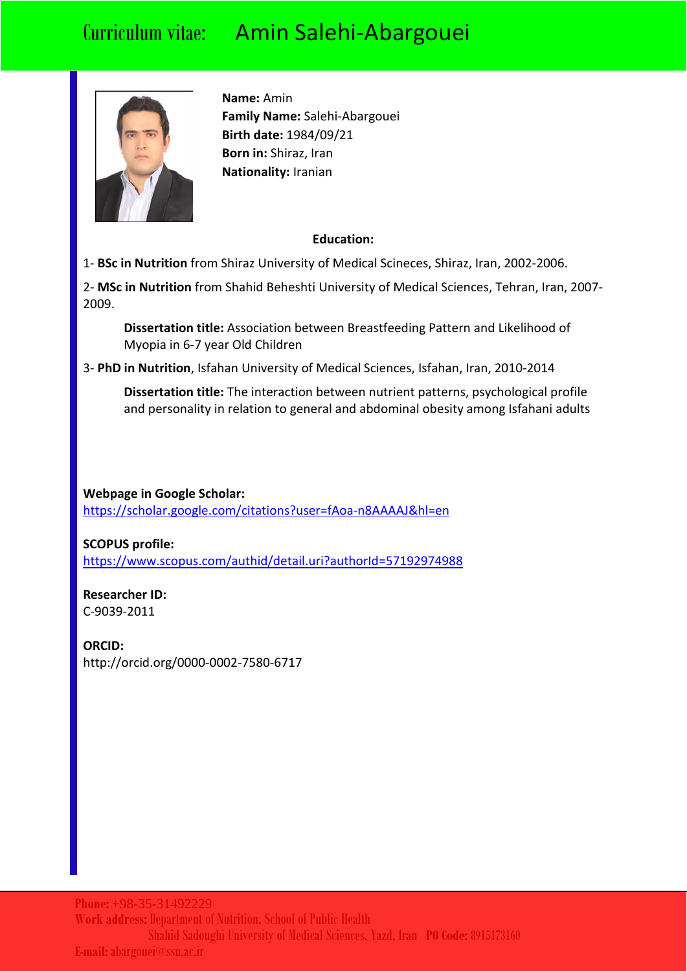

**Name:** Amin **Family Name:** Salehi-Abargouei **Birth date:** 1984/09/21 **Born in:** Shiraz, Iran **Nationality:** Iranian

### **Education:**

1- **BSc in Nutrition** from Shiraz University of Medical Scineces, Shiraz, Iran, 2002-2006.

2- **MSc in Nutrition** from Shahid Beheshti University of Medical Sciences, Tehran, Iran, 2007- 2009.

**Dissertation title:** Association between Breastfeeding Pattern and Likelihood of Myopia in 6-7 year Old Children

3- **PhD in Nutrition**, Isfahan University of Medical Sciences, Isfahan, Iran, 2010-2014

**Dissertation title:** The interaction between nutrient patterns, psychological profile and personality in relation to general and abdominal obesity among Isfahani adults

**Webpage in Google Scholar:** <https://scholar.google.com/citations?user=fAoa-n8AAAAJ&hl=en>

**SCOPUS profile:** <https://www.scopus.com/authid/detail.uri?authorId=57192974988>

**Researcher ID:** C-9039-2011

**ORCID:** http://orcid.org/0000-0002-7580-6717

**Phone:** +98-35-31492229 **Work address:**Department of Nutrition, School of Public Health Shahid Sadoughi University of Medical Sciences, Yazd, Iran **PO Code:** 8915173160 **E-mail:** abargouei@ssu.ac.ir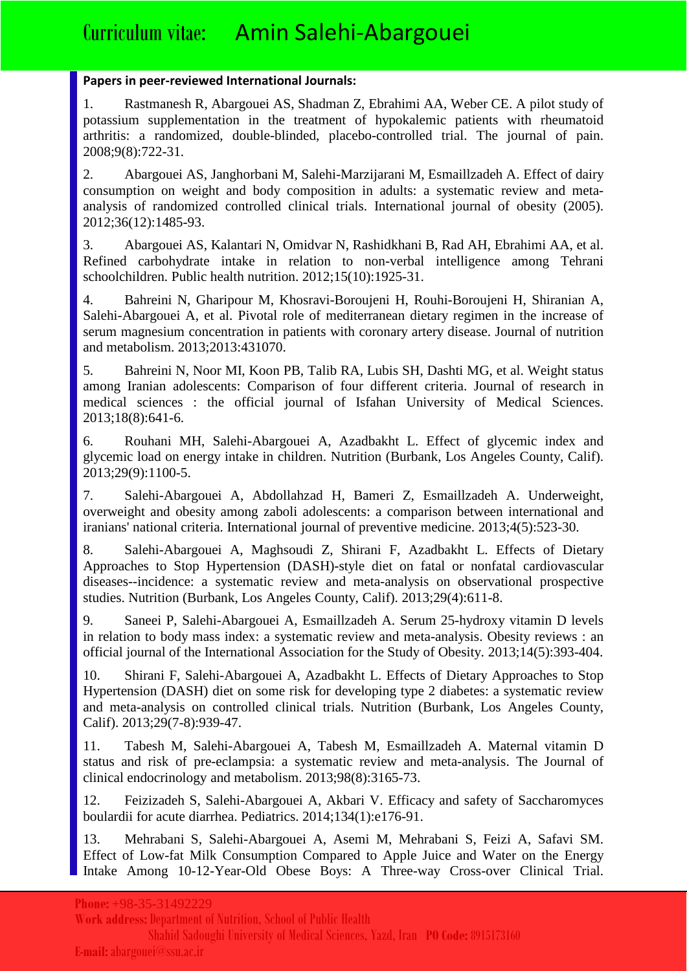#### **Papers in peer-reviewed International Journals:**

1. Rastmanesh R, Abargouei AS, Shadman Z, Ebrahimi AA, Weber CE. A pilot study of potassium supplementation in the treatment of hypokalemic patients with rheumatoid arthritis: a randomized, double-blinded, placebo-controlled trial. The journal of pain. 2008;9(8):722-31.

2. Abargouei AS, Janghorbani M, Salehi-Marzijarani M, Esmaillzadeh A. Effect of dairy consumption on weight and body composition in adults: a systematic review and metaanalysis of randomized controlled clinical trials. International journal of obesity (2005). 2012;36(12):1485-93.

3. Abargouei AS, Kalantari N, Omidvar N, Rashidkhani B, Rad AH, Ebrahimi AA, et al. Refined carbohydrate intake in relation to non-verbal intelligence among Tehrani schoolchildren. Public health nutrition. 2012;15(10):1925-31.

4. Bahreini N, Gharipour M, Khosravi-Boroujeni H, Rouhi-Boroujeni H, Shiranian A, Salehi-Abargouei A, et al. Pivotal role of mediterranean dietary regimen in the increase of serum magnesium concentration in patients with coronary artery disease. Journal of nutrition and metabolism. 2013;2013:431070.

5. Bahreini N, Noor MI, Koon PB, Talib RA, Lubis SH, Dashti MG, et al. Weight status among Iranian adolescents: Comparison of four different criteria. Journal of research in medical sciences : the official journal of Isfahan University of Medical Sciences. 2013;18(8):641-6.

6. Rouhani MH, Salehi-Abargouei A, Azadbakht L. Effect of glycemic index and glycemic load on energy intake in children. Nutrition (Burbank, Los Angeles County, Calif). 2013;29(9):1100-5.

7. Salehi-Abargouei A, Abdollahzad H, Bameri Z, Esmaillzadeh A. Underweight, overweight and obesity among zaboli adolescents: a comparison between international and iranians' national criteria. International journal of preventive medicine. 2013;4(5):523-30.

8. Salehi-Abargouei A, Maghsoudi Z, Shirani F, Azadbakht L. Effects of Dietary Approaches to Stop Hypertension (DASH)-style diet on fatal or nonfatal cardiovascular diseases--incidence: a systematic review and meta-analysis on observational prospective studies. Nutrition (Burbank, Los Angeles County, Calif). 2013;29(4):611-8.

9. Saneei P, Salehi-Abargouei A, Esmaillzadeh A. Serum 25-hydroxy vitamin D levels in relation to body mass index: a systematic review and meta-analysis. Obesity reviews : an official journal of the International Association for the Study of Obesity. 2013;14(5):393-404.

10. Shirani F, Salehi-Abargouei A, Azadbakht L. Effects of Dietary Approaches to Stop Hypertension (DASH) diet on some risk for developing type 2 diabetes: a systematic review and meta-analysis on controlled clinical trials. Nutrition (Burbank, Los Angeles County, Calif). 2013;29(7-8):939-47.

11. Tabesh M, Salehi-Abargouei A, Tabesh M, Esmaillzadeh A. Maternal vitamin D status and risk of pre-eclampsia: a systematic review and meta-analysis. The Journal of clinical endocrinology and metabolism. 2013;98(8):3165-73.

12. Feizizadeh S, Salehi-Abargouei A, Akbari V. Efficacy and safety of Saccharomyces boulardii for acute diarrhea. Pediatrics. 2014;134(1):e176-91.

13. Mehrabani S, Salehi-Abargouei A, Asemi M, Mehrabani S, Feizi A, Safavi SM. Effect of Low-fat Milk Consumption Compared to Apple Juice and Water on the Energy Intake Among 10-12-Year-Old Obese Boys: A Three-way Cross-over Clinical Trial.

**Work address:**Department of Nutrition, School of Public Health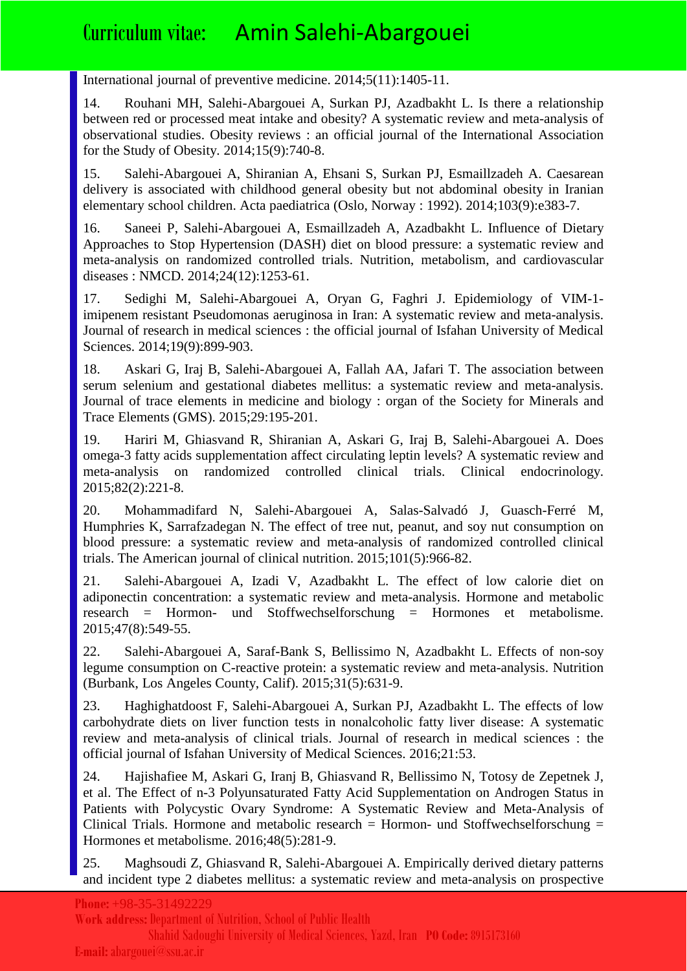International journal of preventive medicine. 2014;5(11):1405-11.

14. Rouhani MH, Salehi-Abargouei A, Surkan PJ, Azadbakht L. Is there a relationship between red or processed meat intake and obesity? A systematic review and meta-analysis of observational studies. Obesity reviews : an official journal of the International Association for the Study of Obesity. 2014;15(9):740-8.

15. Salehi-Abargouei A, Shiranian A, Ehsani S, Surkan PJ, Esmaillzadeh A. Caesarean delivery is associated with childhood general obesity but not abdominal obesity in Iranian elementary school children. Acta paediatrica (Oslo, Norway : 1992). 2014;103(9):e383-7.

16. Saneei P, Salehi-Abargouei A, Esmaillzadeh A, Azadbakht L. Influence of Dietary Approaches to Stop Hypertension (DASH) diet on blood pressure: a systematic review and meta-analysis on randomized controlled trials. Nutrition, metabolism, and cardiovascular diseases : NMCD. 2014;24(12):1253-61.

17. Sedighi M, Salehi-Abargouei A, Oryan G, Faghri J. Epidemiology of VIM-1 imipenem resistant Pseudomonas aeruginosa in Iran: A systematic review and meta-analysis. Journal of research in medical sciences : the official journal of Isfahan University of Medical Sciences. 2014;19(9):899-903.

18. Askari G, Iraj B, Salehi-Abargouei A, Fallah AA, Jafari T. The association between serum selenium and gestational diabetes mellitus: a systematic review and meta-analysis. Journal of trace elements in medicine and biology : organ of the Society for Minerals and Trace Elements (GMS). 2015;29:195-201.

19. Hariri M, Ghiasvand R, Shiranian A, Askari G, Iraj B, Salehi-Abargouei A. Does omega-3 fatty acids supplementation affect circulating leptin levels? A systematic review and meta-analysis on randomized controlled clinical trials. Clinical endocrinology. 2015;82(2):221-8.

20. Mohammadifard N, Salehi-Abargouei A, Salas-Salvadó J, Guasch-Ferré M, Humphries K, Sarrafzadegan N. The effect of tree nut, peanut, and soy nut consumption on blood pressure: a systematic review and meta-analysis of randomized controlled clinical trials. The American journal of clinical nutrition. 2015;101(5):966-82.

21. Salehi-Abargouei A, Izadi V, Azadbakht L. The effect of low calorie diet on adiponectin concentration: a systematic review and meta-analysis. Hormone and metabolic research = Hormon- und Stoffwechselforschung = Hormones et metabolisme. 2015;47(8):549-55.

22. Salehi-Abargouei A, Saraf-Bank S, Bellissimo N, Azadbakht L. Effects of non-soy legume consumption on C-reactive protein: a systematic review and meta-analysis. Nutrition (Burbank, Los Angeles County, Calif). 2015;31(5):631-9.

23. Haghighatdoost F, Salehi-Abargouei A, Surkan PJ, Azadbakht L. The effects of low carbohydrate diets on liver function tests in nonalcoholic fatty liver disease: A systematic review and meta-analysis of clinical trials. Journal of research in medical sciences : the official journal of Isfahan University of Medical Sciences. 2016;21:53.

24. Hajishafiee M, Askari G, Iranj B, Ghiasvand R, Bellissimo N, Totosy de Zepetnek J, et al. The Effect of n-3 Polyunsaturated Fatty Acid Supplementation on Androgen Status in Patients with Polycystic Ovary Syndrome: A Systematic Review and Meta-Analysis of Clinical Trials. Hormone and metabolic research  $=$  Hormon- und Stoffwechselforschung  $=$ Hormones et metabolisme. 2016;48(5):281-9.

25. Maghsoudi Z, Ghiasvand R, Salehi-Abargouei A. Empirically derived dietary patterns and incident type 2 diabetes mellitus: a systematic review and meta-analysis on prospective

**Work address:**Department of Nutrition, School of Public Health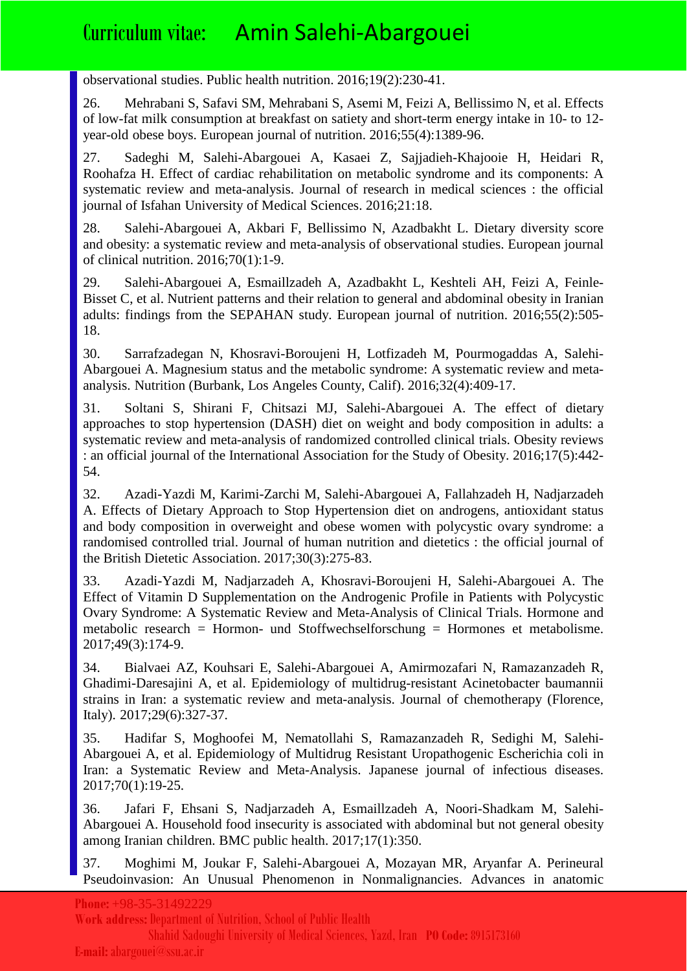observational studies. Public health nutrition. 2016;19(2):230-41.

26. Mehrabani S, Safavi SM, Mehrabani S, Asemi M, Feizi A, Bellissimo N, et al. Effects of low-fat milk consumption at breakfast on satiety and short-term energy intake in 10- to 12 year-old obese boys. European journal of nutrition. 2016;55(4):1389-96.

27. Sadeghi M, Salehi-Abargouei A, Kasaei Z, Sajjadieh-Khajooie H, Heidari R, Roohafza H. Effect of cardiac rehabilitation on metabolic syndrome and its components: A systematic review and meta-analysis. Journal of research in medical sciences : the official journal of Isfahan University of Medical Sciences. 2016;21:18.

28. Salehi-Abargouei A, Akbari F, Bellissimo N, Azadbakht L. Dietary diversity score and obesity: a systematic review and meta-analysis of observational studies. European journal of clinical nutrition. 2016;70(1):1-9.

29. Salehi-Abargouei A, Esmaillzadeh A, Azadbakht L, Keshteli AH, Feizi A, Feinle-Bisset C, et al. Nutrient patterns and their relation to general and abdominal obesity in Iranian adults: findings from the SEPAHAN study. European journal of nutrition. 2016;55(2):505- 18.

30. Sarrafzadegan N, Khosravi-Boroujeni H, Lotfizadeh M, Pourmogaddas A, Salehi-Abargouei A. Magnesium status and the metabolic syndrome: A systematic review and metaanalysis. Nutrition (Burbank, Los Angeles County, Calif). 2016;32(4):409-17.

31. Soltani S, Shirani F, Chitsazi MJ, Salehi-Abargouei A. The effect of dietary approaches to stop hypertension (DASH) diet on weight and body composition in adults: a systematic review and meta-analysis of randomized controlled clinical trials. Obesity reviews : an official journal of the International Association for the Study of Obesity. 2016;17(5):442- 54.

32. Azadi-Yazdi M, Karimi-Zarchi M, Salehi-Abargouei A, Fallahzadeh H, Nadjarzadeh A. Effects of Dietary Approach to Stop Hypertension diet on androgens, antioxidant status and body composition in overweight and obese women with polycystic ovary syndrome: a randomised controlled trial. Journal of human nutrition and dietetics : the official journal of the British Dietetic Association. 2017;30(3):275-83.

33. Azadi-Yazdi M, Nadjarzadeh A, Khosravi-Boroujeni H, Salehi-Abargouei A. The Effect of Vitamin D Supplementation on the Androgenic Profile in Patients with Polycystic Ovary Syndrome: A Systematic Review and Meta-Analysis of Clinical Trials. Hormone and metabolic research = Hormon- und Stoffwechselforschung = Hormones et metabolisme. 2017;49(3):174-9.

34. Bialvaei AZ, Kouhsari E, Salehi-Abargouei A, Amirmozafari N, Ramazanzadeh R, Ghadimi-Daresajini A, et al. Epidemiology of multidrug-resistant Acinetobacter baumannii strains in Iran: a systematic review and meta-analysis. Journal of chemotherapy (Florence, Italy). 2017;29(6):327-37.

35. Hadifar S, Moghoofei M, Nematollahi S, Ramazanzadeh R, Sedighi M, Salehi-Abargouei A, et al. Epidemiology of Multidrug Resistant Uropathogenic Escherichia coli in Iran: a Systematic Review and Meta-Analysis. Japanese journal of infectious diseases. 2017;70(1):19-25.

36. Jafari F, Ehsani S, Nadjarzadeh A, Esmaillzadeh A, Noori-Shadkam M, Salehi-Abargouei A. Household food insecurity is associated with abdominal but not general obesity among Iranian children. BMC public health. 2017;17(1):350.

37. Moghimi M, Joukar F, Salehi-Abargouei A, Mozayan MR, Aryanfar A. Perineural Pseudoinvasion: An Unusual Phenomenon in Nonmalignancies. Advances in anatomic

**Phone:** +98-35-31492229

**Work address:**Department of Nutrition, School of Public Health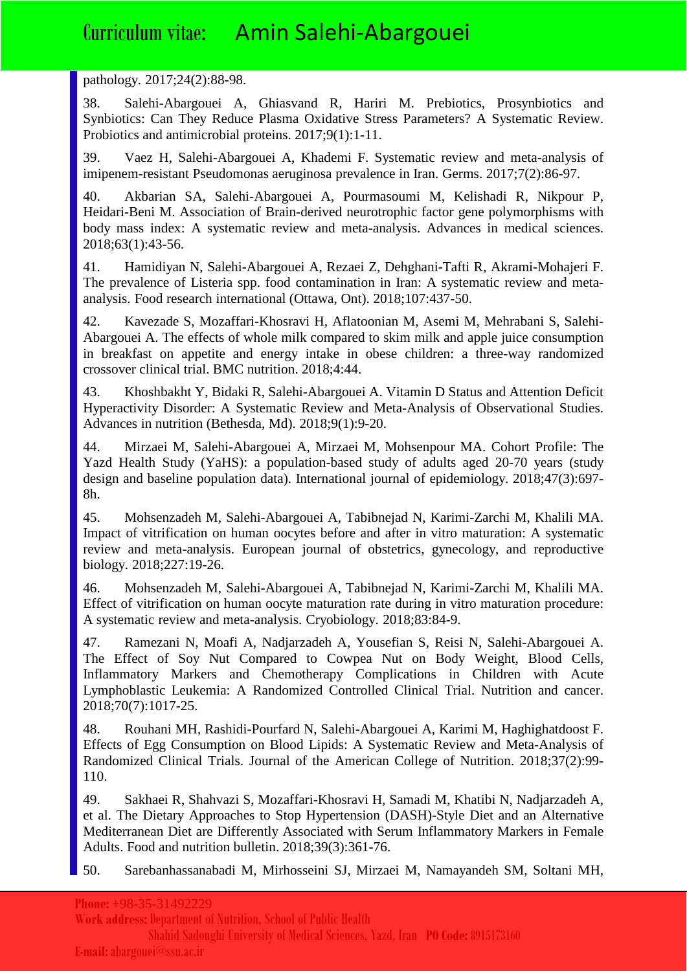#### pathology. 2017;24(2):88-98.

38. Salehi-Abargouei A, Ghiasvand R, Hariri M. Prebiotics, Prosynbiotics and Synbiotics: Can They Reduce Plasma Oxidative Stress Parameters? A Systematic Review. Probiotics and antimicrobial proteins. 2017;9(1):1-11.

39. Vaez H, Salehi-Abargouei A, Khademi F. Systematic review and meta-analysis of imipenem-resistant Pseudomonas aeruginosa prevalence in Iran. Germs. 2017;7(2):86-97.

40. Akbarian SA, Salehi-Abargouei A, Pourmasoumi M, Kelishadi R, Nikpour P, Heidari-Beni M. Association of Brain-derived neurotrophic factor gene polymorphisms with body mass index: A systematic review and meta-analysis. Advances in medical sciences. 2018;63(1):43-56.

41. Hamidiyan N, Salehi-Abargouei A, Rezaei Z, Dehghani-Tafti R, Akrami-Mohajeri F. The prevalence of Listeria spp. food contamination in Iran: A systematic review and metaanalysis. Food research international (Ottawa, Ont). 2018;107:437-50.

42. Kavezade S, Mozaffari-Khosravi H, Aflatoonian M, Asemi M, Mehrabani S, Salehi-Abargouei A. The effects of whole milk compared to skim milk and apple juice consumption in breakfast on appetite and energy intake in obese children: a three-way randomized crossover clinical trial. BMC nutrition. 2018;4:44.

43. Khoshbakht Y, Bidaki R, Salehi-Abargouei A. Vitamin D Status and Attention Deficit Hyperactivity Disorder: A Systematic Review and Meta-Analysis of Observational Studies. Advances in nutrition (Bethesda, Md). 2018;9(1):9-20.

44. Mirzaei M, Salehi-Abargouei A, Mirzaei M, Mohsenpour MA. Cohort Profile: The Yazd Health Study (YaHS): a population-based study of adults aged 20-70 years (study design and baseline population data). International journal of epidemiology. 2018;47(3):697- 8h.

45. Mohsenzadeh M, Salehi-Abargouei A, Tabibnejad N, Karimi-Zarchi M, Khalili MA. Impact of vitrification on human oocytes before and after in vitro maturation: A systematic review and meta-analysis. European journal of obstetrics, gynecology, and reproductive biology. 2018;227:19-26.

46. Mohsenzadeh M, Salehi-Abargouei A, Tabibnejad N, Karimi-Zarchi M, Khalili MA. Effect of vitrification on human oocyte maturation rate during in vitro maturation procedure: A systematic review and meta-analysis. Cryobiology. 2018;83:84-9.

47. Ramezani N, Moafi A, Nadjarzadeh A, Yousefian S, Reisi N, Salehi-Abargouei A. The Effect of Soy Nut Compared to Cowpea Nut on Body Weight, Blood Cells, Inflammatory Markers and Chemotherapy Complications in Children with Acute Lymphoblastic Leukemia: A Randomized Controlled Clinical Trial. Nutrition and cancer. 2018;70(7):1017-25.

48. Rouhani MH, Rashidi-Pourfard N, Salehi-Abargouei A, Karimi M, Haghighatdoost F. Effects of Egg Consumption on Blood Lipids: A Systematic Review and Meta-Analysis of Randomized Clinical Trials. Journal of the American College of Nutrition. 2018;37(2):99- 110.

49. Sakhaei R, Shahvazi S, Mozaffari-Khosravi H, Samadi M, Khatibi N, Nadjarzadeh A, et al. The Dietary Approaches to Stop Hypertension (DASH)-Style Diet and an Alternative Mediterranean Diet are Differently Associated with Serum Inflammatory Markers in Female Adults. Food and nutrition bulletin. 2018;39(3):361-76.

50. Sarebanhassanabadi M, Mirhosseini SJ, Mirzaei M, Namayandeh SM, Soltani MH,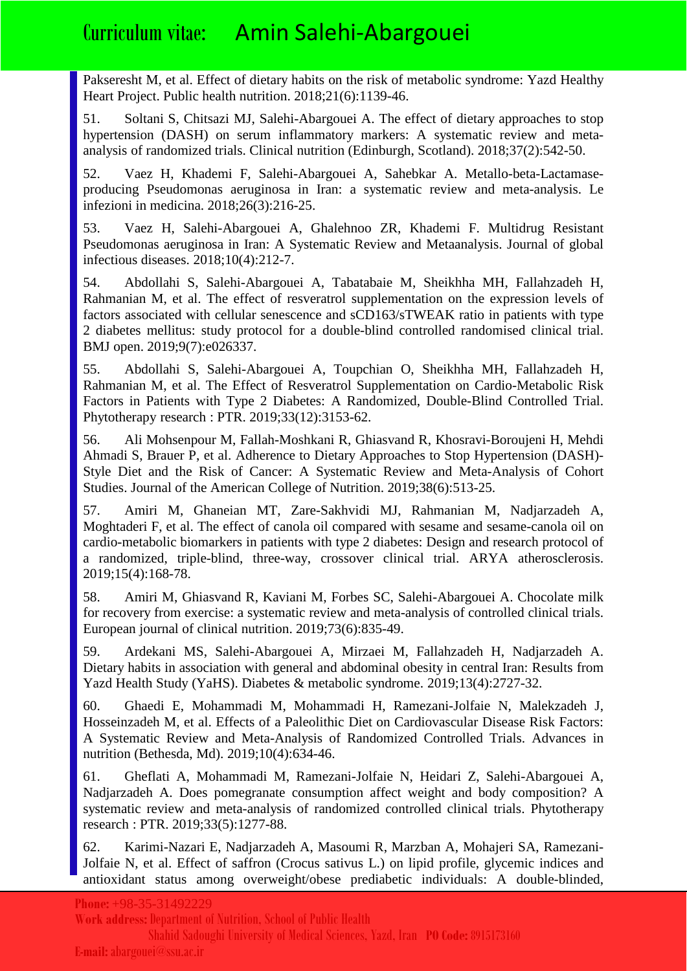Pakseresht M, et al. Effect of dietary habits on the risk of metabolic syndrome: Yazd Healthy Heart Project. Public health nutrition. 2018;21(6):1139-46.

51. Soltani S, Chitsazi MJ, Salehi-Abargouei A. The effect of dietary approaches to stop hypertension (DASH) on serum inflammatory markers: A systematic review and metaanalysis of randomized trials. Clinical nutrition (Edinburgh, Scotland). 2018;37(2):542-50.

52. Vaez H, Khademi F, Salehi-Abargouei A, Sahebkar A. Metallo-beta-Lactamaseproducing Pseudomonas aeruginosa in Iran: a systematic review and meta-analysis. Le infezioni in medicina. 2018;26(3):216-25.

53. Vaez H, Salehi-Abargouei A, Ghalehnoo ZR, Khademi F. Multidrug Resistant Pseudomonas aeruginosa in Iran: A Systematic Review and Metaanalysis. Journal of global infectious diseases. 2018;10(4):212-7.

54. Abdollahi S, Salehi-Abargouei A, Tabatabaie M, Sheikhha MH, Fallahzadeh H, Rahmanian M, et al. The effect of resveratrol supplementation on the expression levels of factors associated with cellular senescence and sCD163/sTWEAK ratio in patients with type 2 diabetes mellitus: study protocol for a double-blind controlled randomised clinical trial. BMJ open. 2019;9(7):e026337.

55. Abdollahi S, Salehi-Abargouei A, Toupchian O, Sheikhha MH, Fallahzadeh H, Rahmanian M, et al. The Effect of Resveratrol Supplementation on Cardio-Metabolic Risk Factors in Patients with Type 2 Diabetes: A Randomized, Double-Blind Controlled Trial. Phytotherapy research : PTR. 2019;33(12):3153-62.

56. Ali Mohsenpour M, Fallah-Moshkani R, Ghiasvand R, Khosravi-Boroujeni H, Mehdi Ahmadi S, Brauer P, et al. Adherence to Dietary Approaches to Stop Hypertension (DASH)- Style Diet and the Risk of Cancer: A Systematic Review and Meta-Analysis of Cohort Studies. Journal of the American College of Nutrition. 2019;38(6):513-25.

57. Amiri M, Ghaneian MT, Zare-Sakhvidi MJ, Rahmanian M, Nadjarzadeh A, Moghtaderi F, et al. The effect of canola oil compared with sesame and sesame-canola oil on cardio-metabolic biomarkers in patients with type 2 diabetes: Design and research protocol of a randomized, triple-blind, three-way, crossover clinical trial. ARYA atherosclerosis. 2019;15(4):168-78.

58. Amiri M, Ghiasvand R, Kaviani M, Forbes SC, Salehi-Abargouei A. Chocolate milk for recovery from exercise: a systematic review and meta-analysis of controlled clinical trials. European journal of clinical nutrition. 2019;73(6):835-49.

59. Ardekani MS, Salehi-Abargouei A, Mirzaei M, Fallahzadeh H, Nadjarzadeh A. Dietary habits in association with general and abdominal obesity in central Iran: Results from Yazd Health Study (YaHS). Diabetes & metabolic syndrome. 2019;13(4):2727-32.

60. Ghaedi E, Mohammadi M, Mohammadi H, Ramezani-Jolfaie N, Malekzadeh J, Hosseinzadeh M, et al. Effects of a Paleolithic Diet on Cardiovascular Disease Risk Factors: A Systematic Review and Meta-Analysis of Randomized Controlled Trials. Advances in nutrition (Bethesda, Md). 2019;10(4):634-46.

61. Gheflati A, Mohammadi M, Ramezani-Jolfaie N, Heidari Z, Salehi-Abargouei A, Nadjarzadeh A. Does pomegranate consumption affect weight and body composition? A systematic review and meta-analysis of randomized controlled clinical trials. Phytotherapy research : PTR. 2019;33(5):1277-88.

62. Karimi-Nazari E, Nadjarzadeh A, Masoumi R, Marzban A, Mohajeri SA, Ramezani-Jolfaie N, et al. Effect of saffron (Crocus sativus L.) on lipid profile, glycemic indices and antioxidant status among overweight/obese prediabetic individuals: A double-blinded,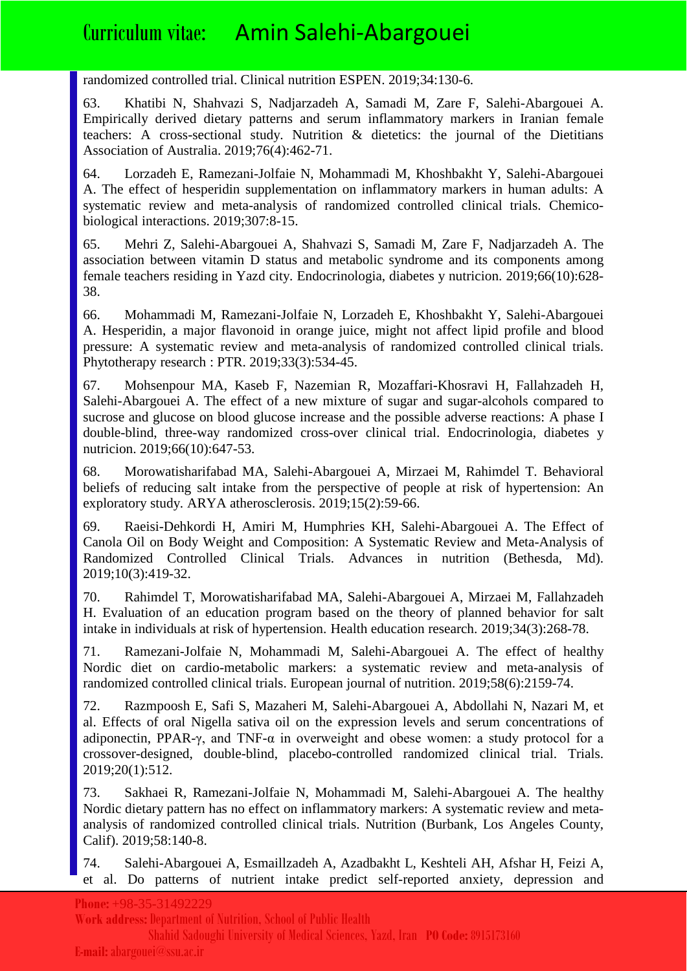randomized controlled trial. Clinical nutrition ESPEN. 2019;34:130-6.

63. Khatibi N, Shahvazi S, Nadjarzadeh A, Samadi M, Zare F, Salehi-Abargouei A. Empirically derived dietary patterns and serum inflammatory markers in Iranian female teachers: A cross-sectional study. Nutrition & dietetics: the journal of the Dietitians Association of Australia. 2019;76(4):462-71.

64. Lorzadeh E, Ramezani-Jolfaie N, Mohammadi M, Khoshbakht Y, Salehi-Abargouei A. The effect of hesperidin supplementation on inflammatory markers in human adults: A systematic review and meta-analysis of randomized controlled clinical trials. Chemicobiological interactions. 2019;307:8-15.

65. Mehri Z, Salehi-Abargouei A, Shahvazi S, Samadi M, Zare F, Nadjarzadeh A. The association between vitamin D status and metabolic syndrome and its components among female teachers residing in Yazd city. Endocrinologia, diabetes y nutricion. 2019;66(10):628- 38.

66. Mohammadi M, Ramezani-Jolfaie N, Lorzadeh E, Khoshbakht Y, Salehi-Abargouei A. Hesperidin, a major flavonoid in orange juice, might not affect lipid profile and blood pressure: A systematic review and meta-analysis of randomized controlled clinical trials. Phytotherapy research : PTR. 2019;33(3):534-45.

67. Mohsenpour MA, Kaseb F, Nazemian R, Mozaffari-Khosravi H, Fallahzadeh H, Salehi-Abargouei A. The effect of a new mixture of sugar and sugar-alcohols compared to sucrose and glucose on blood glucose increase and the possible adverse reactions: A phase I double-blind, three-way randomized cross-over clinical trial. Endocrinologia, diabetes y nutricion. 2019;66(10):647-53.

68. Morowatisharifabad MA, Salehi-Abargouei A, Mirzaei M, Rahimdel T. Behavioral beliefs of reducing salt intake from the perspective of people at risk of hypertension: An exploratory study. ARYA atherosclerosis. 2019;15(2):59-66.

69. Raeisi-Dehkordi H, Amiri M, Humphries KH, Salehi-Abargouei A. The Effect of Canola Oil on Body Weight and Composition: A Systematic Review and Meta-Analysis of Randomized Controlled Clinical Trials. Advances in nutrition (Bethesda, Md). 2019;10(3):419-32.

70. Rahimdel T, Morowatisharifabad MA, Salehi-Abargouei A, Mirzaei M, Fallahzadeh H. Evaluation of an education program based on the theory of planned behavior for salt intake in individuals at risk of hypertension. Health education research. 2019;34(3):268-78.

71. Ramezani-Jolfaie N, Mohammadi M, Salehi-Abargouei A. The effect of healthy Nordic diet on cardio-metabolic markers: a systematic review and meta-analysis of randomized controlled clinical trials. European journal of nutrition. 2019;58(6):2159-74.

72. Razmpoosh E, Safi S, Mazaheri M, Salehi-Abargouei A, Abdollahi N, Nazari M, et al. Effects of oral Nigella sativa oil on the expression levels and serum concentrations of adiponectin, PPAR- $\gamma$ , and TNF- $\alpha$  in overweight and obese women: a study protocol for a crossover-designed, double-blind, placebo-controlled randomized clinical trial. Trials. 2019;20(1):512.

73. Sakhaei R, Ramezani-Jolfaie N, Mohammadi M, Salehi-Abargouei A. The healthy Nordic dietary pattern has no effect on inflammatory markers: A systematic review and metaanalysis of randomized controlled clinical trials. Nutrition (Burbank, Los Angeles County, Calif). 2019;58:140-8.

74. Salehi-Abargouei A, Esmaillzadeh A, Azadbakht L, Keshteli AH, Afshar H, Feizi A, et al. Do patterns of nutrient intake predict self-reported anxiety, depression and

#### **Phone:** +98-35-31492229

**Work address:**Department of Nutrition, School of Public Health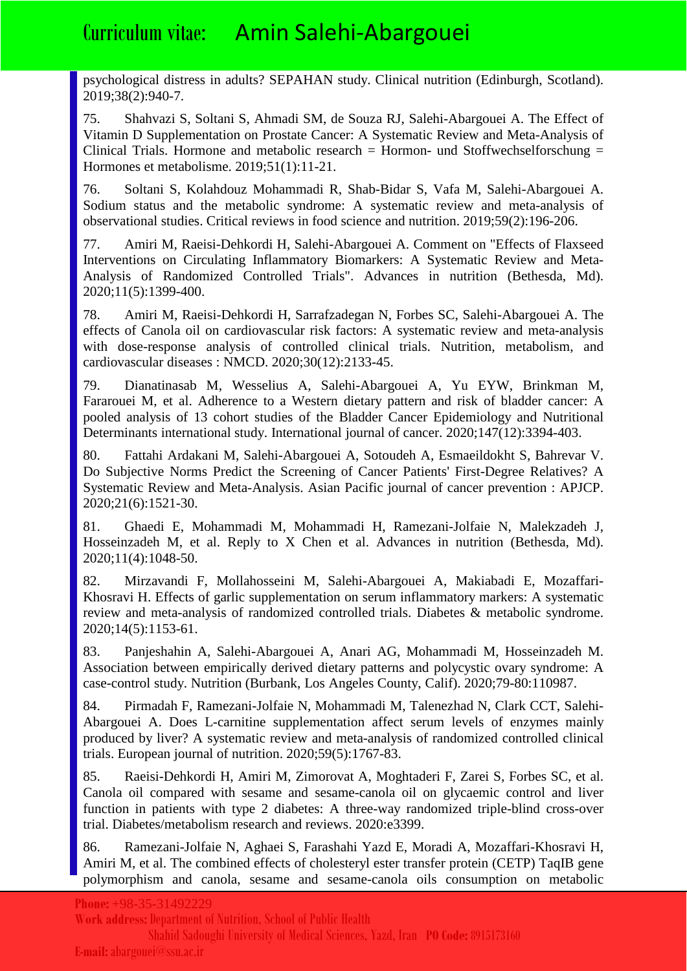psychological distress in adults? SEPAHAN study. Clinical nutrition (Edinburgh, Scotland). 2019;38(2):940-7.

75. Shahvazi S, Soltani S, Ahmadi SM, de Souza RJ, Salehi-Abargouei A. The Effect of Vitamin D Supplementation on Prostate Cancer: A Systematic Review and Meta-Analysis of Clinical Trials. Hormone and metabolic research  $=$  Hormon- und Stoffwechselforschung  $=$ Hormones et metabolisme. 2019;51(1):11-21.

76. Soltani S, Kolahdouz Mohammadi R, Shab-Bidar S, Vafa M, Salehi-Abargouei A. Sodium status and the metabolic syndrome: A systematic review and meta-analysis of observational studies. Critical reviews in food science and nutrition. 2019;59(2):196-206.

77. Amiri M, Raeisi-Dehkordi H, Salehi-Abargouei A. Comment on "Effects of Flaxseed Interventions on Circulating Inflammatory Biomarkers: A Systematic Review and Meta-Analysis of Randomized Controlled Trials". Advances in nutrition (Bethesda, Md). 2020;11(5):1399-400.

78. Amiri M, Raeisi-Dehkordi H, Sarrafzadegan N, Forbes SC, Salehi-Abargouei A. The effects of Canola oil on cardiovascular risk factors: A systematic review and meta-analysis with dose-response analysis of controlled clinical trials. Nutrition, metabolism, and cardiovascular diseases : NMCD. 2020;30(12):2133-45.

79. Dianatinasab M, Wesselius A, Salehi-Abargouei A, Yu EYW, Brinkman M, Fararouei M, et al. Adherence to a Western dietary pattern and risk of bladder cancer: A pooled analysis of 13 cohort studies of the Bladder Cancer Epidemiology and Nutritional Determinants international study. International journal of cancer. 2020;147(12):3394-403.

80. Fattahi Ardakani M, Salehi-Abargouei A, Sotoudeh A, Esmaeildokht S, Bahrevar V. Do Subjective Norms Predict the Screening of Cancer Patients' First-Degree Relatives? A Systematic Review and Meta-Analysis. Asian Pacific journal of cancer prevention : APJCP. 2020;21(6):1521-30.

81. Ghaedi E, Mohammadi M, Mohammadi H, Ramezani-Jolfaie N, Malekzadeh J, Hosseinzadeh M, et al. Reply to X Chen et al. Advances in nutrition (Bethesda, Md). 2020;11(4):1048-50.

82. Mirzavandi F, Mollahosseini M, Salehi-Abargouei A, Makiabadi E, Mozaffari-Khosravi H. Effects of garlic supplementation on serum inflammatory markers: A systematic review and meta-analysis of randomized controlled trials. Diabetes & metabolic syndrome. 2020;14(5):1153-61.

83. Panjeshahin A, Salehi-Abargouei A, Anari AG, Mohammadi M, Hosseinzadeh M. Association between empirically derived dietary patterns and polycystic ovary syndrome: A case-control study. Nutrition (Burbank, Los Angeles County, Calif). 2020;79-80:110987.

84. Pirmadah F, Ramezani-Jolfaie N, Mohammadi M, Talenezhad N, Clark CCT, Salehi-Abargouei A. Does L-carnitine supplementation affect serum levels of enzymes mainly produced by liver? A systematic review and meta-analysis of randomized controlled clinical trials. European journal of nutrition. 2020;59(5):1767-83.

85. Raeisi-Dehkordi H, Amiri M, Zimorovat A, Moghtaderi F, Zarei S, Forbes SC, et al. Canola oil compared with sesame and sesame-canola oil on glycaemic control and liver function in patients with type 2 diabetes: A three-way randomized triple-blind cross-over trial. Diabetes/metabolism research and reviews. 2020:e3399.

86. Ramezani-Jolfaie N, Aghaei S, Farashahi Yazd E, Moradi A, Mozaffari-Khosravi H, Amiri M, et al. The combined effects of cholesteryl ester transfer protein (CETP) TaqIB gene polymorphism and canola, sesame and sesame-canola oils consumption on metabolic

**Work address:**Department of Nutrition, School of Public Health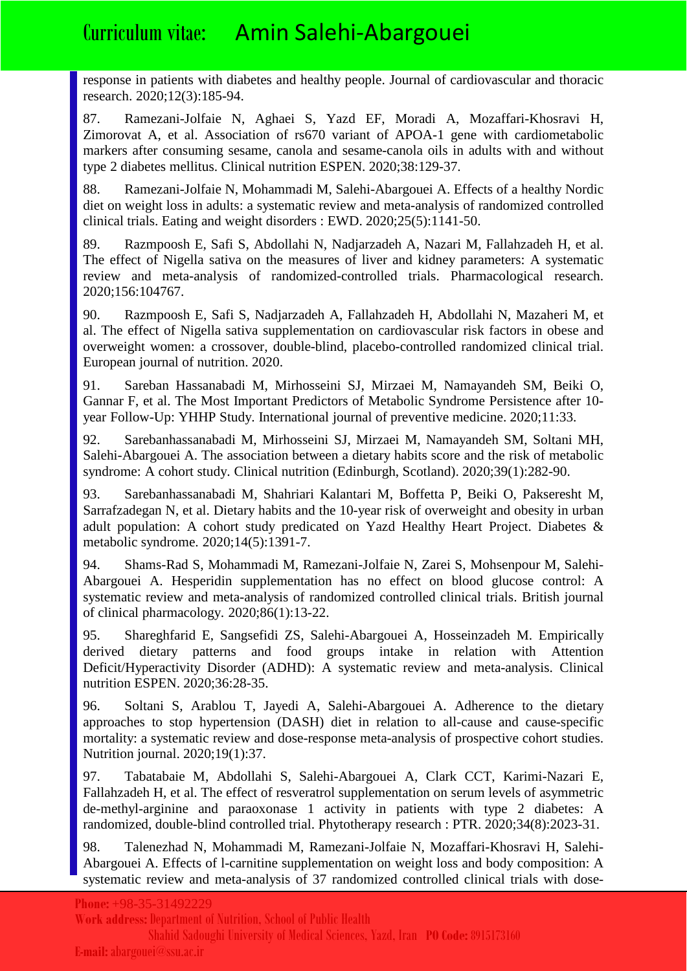response in patients with diabetes and healthy people. Journal of cardiovascular and thoracic research. 2020;12(3):185-94.

87. Ramezani-Jolfaie N, Aghaei S, Yazd EF, Moradi A, Mozaffari-Khosravi H, Zimorovat A, et al. Association of rs670 variant of APOA-1 gene with cardiometabolic markers after consuming sesame, canola and sesame-canola oils in adults with and without type 2 diabetes mellitus. Clinical nutrition ESPEN. 2020;38:129-37.

88. Ramezani-Jolfaie N, Mohammadi M, Salehi-Abargouei A. Effects of a healthy Nordic diet on weight loss in adults: a systematic review and meta-analysis of randomized controlled clinical trials. Eating and weight disorders : EWD. 2020;25(5):1141-50.

89. Razmpoosh E, Safi S, Abdollahi N, Nadjarzadeh A, Nazari M, Fallahzadeh H, et al. The effect of Nigella sativa on the measures of liver and kidney parameters: A systematic review and meta-analysis of randomized-controlled trials. Pharmacological research. 2020;156:104767.

90. Razmpoosh E, Safi S, Nadjarzadeh A, Fallahzadeh H, Abdollahi N, Mazaheri M, et al. The effect of Nigella sativa supplementation on cardiovascular risk factors in obese and overweight women: a crossover, double-blind, placebo-controlled randomized clinical trial. European journal of nutrition. 2020.

91. Sareban Hassanabadi M, Mirhosseini SJ, Mirzaei M, Namayandeh SM, Beiki O, Gannar F, et al. The Most Important Predictors of Metabolic Syndrome Persistence after 10 year Follow-Up: YHHP Study. International journal of preventive medicine. 2020;11:33.

92. Sarebanhassanabadi M, Mirhosseini SJ, Mirzaei M, Namayandeh SM, Soltani MH, Salehi-Abargouei A. The association between a dietary habits score and the risk of metabolic syndrome: A cohort study. Clinical nutrition (Edinburgh, Scotland). 2020;39(1):282-90.

93. Sarebanhassanabadi M, Shahriari Kalantari M, Boffetta P, Beiki O, Pakseresht M, Sarrafzadegan N, et al. Dietary habits and the 10-year risk of overweight and obesity in urban adult population: A cohort study predicated on Yazd Healthy Heart Project. Diabetes & metabolic syndrome. 2020;14(5):1391-7.

94. Shams-Rad S, Mohammadi M, Ramezani-Jolfaie N, Zarei S, Mohsenpour M, Salehi-Abargouei A. Hesperidin supplementation has no effect on blood glucose control: A systematic review and meta-analysis of randomized controlled clinical trials. British journal of clinical pharmacology. 2020;86(1):13-22.

95. Shareghfarid E, Sangsefidi ZS, Salehi-Abargouei A, Hosseinzadeh M. Empirically derived dietary patterns and food groups intake in relation with Attention Deficit/Hyperactivity Disorder (ADHD): A systematic review and meta-analysis. Clinical nutrition ESPEN. 2020;36:28-35.

96. Soltani S, Arablou T, Jayedi A, Salehi-Abargouei A. Adherence to the dietary approaches to stop hypertension (DASH) diet in relation to all-cause and cause-specific mortality: a systematic review and dose-response meta-analysis of prospective cohort studies. Nutrition journal. 2020;19(1):37.

97. Tabatabaie M, Abdollahi S, Salehi-Abargouei A, Clark CCT, Karimi-Nazari E, Fallahzadeh H, et al. The effect of resveratrol supplementation on serum levels of asymmetric de-methyl-arginine and paraoxonase 1 activity in patients with type 2 diabetes: A randomized, double-blind controlled trial. Phytotherapy research : PTR. 2020;34(8):2023-31.

98. Talenezhad N, Mohammadi M, Ramezani-Jolfaie N, Mozaffari-Khosravi H, Salehi-Abargouei A. Effects of l-carnitine supplementation on weight loss and body composition: A systematic review and meta-analysis of 37 randomized controlled clinical trials with dose-

**Work address:**Department of Nutrition, School of Public Health

Shahid Sadoughi University of Medical Sciences, Yazd, Iran **PO Code:** 8915173160

#### **E-mail:** abargouei@ssu.ac.ir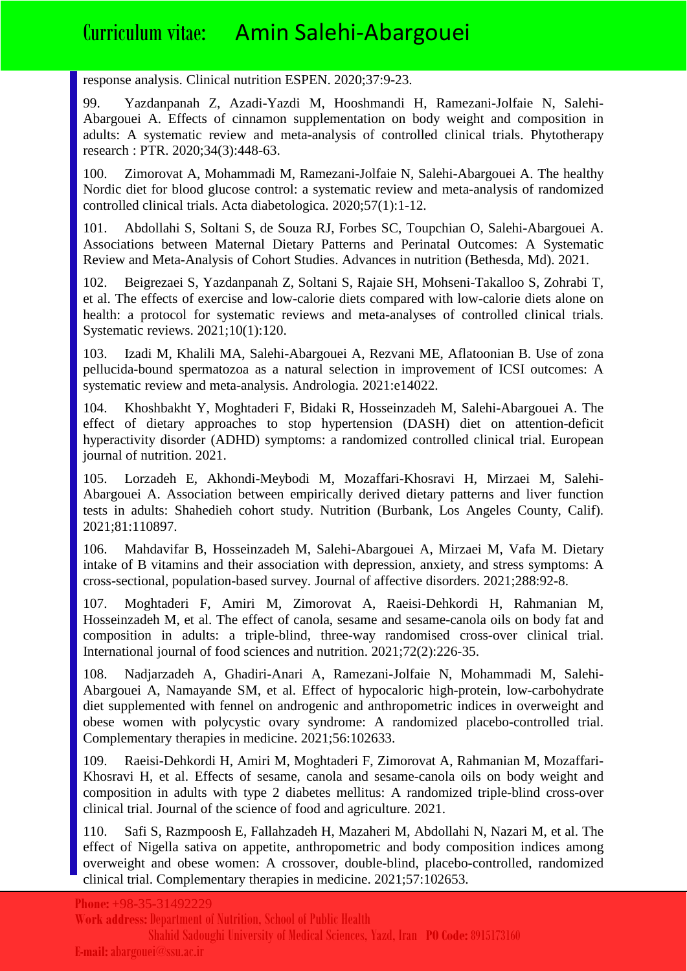response analysis. Clinical nutrition ESPEN. 2020;37:9-23.

99. Yazdanpanah Z, Azadi-Yazdi M, Hooshmandi H, Ramezani-Jolfaie N, Salehi-Abargouei A. Effects of cinnamon supplementation on body weight and composition in adults: A systematic review and meta-analysis of controlled clinical trials. Phytotherapy research : PTR. 2020;34(3):448-63.

100. Zimorovat A, Mohammadi M, Ramezani-Jolfaie N, Salehi-Abargouei A. The healthy Nordic diet for blood glucose control: a systematic review and meta-analysis of randomized controlled clinical trials. Acta diabetologica. 2020;57(1):1-12.

101. Abdollahi S, Soltani S, de Souza RJ, Forbes SC, Toupchian O, Salehi-Abargouei A. Associations between Maternal Dietary Patterns and Perinatal Outcomes: A Systematic Review and Meta-Analysis of Cohort Studies. Advances in nutrition (Bethesda, Md). 2021.

102. Beigrezaei S, Yazdanpanah Z, Soltani S, Rajaie SH, Mohseni-Takalloo S, Zohrabi T, et al. The effects of exercise and low-calorie diets compared with low-calorie diets alone on health: a protocol for systematic reviews and meta-analyses of controlled clinical trials. Systematic reviews. 2021;10(1):120.

103. Izadi M, Khalili MA, Salehi-Abargouei A, Rezvani ME, Aflatoonian B. Use of zona pellucida-bound spermatozoa as a natural selection in improvement of ICSI outcomes: A systematic review and meta-analysis. Andrologia. 2021:e14022.

104. Khoshbakht Y, Moghtaderi F, Bidaki R, Hosseinzadeh M, Salehi-Abargouei A. The effect of dietary approaches to stop hypertension (DASH) diet on attention-deficit hyperactivity disorder (ADHD) symptoms: a randomized controlled clinical trial. European journal of nutrition. 2021.

105. Lorzadeh E, Akhondi-Meybodi M, Mozaffari-Khosravi H, Mirzaei M, Salehi-Abargouei A. Association between empirically derived dietary patterns and liver function tests in adults: Shahedieh cohort study. Nutrition (Burbank, Los Angeles County, Calif). 2021;81:110897.

106. Mahdavifar B, Hosseinzadeh M, Salehi-Abargouei A, Mirzaei M, Vafa M. Dietary intake of B vitamins and their association with depression, anxiety, and stress symptoms: A cross-sectional, population-based survey. Journal of affective disorders. 2021;288:92-8.

107. Moghtaderi F, Amiri M, Zimorovat A, Raeisi-Dehkordi H, Rahmanian M, Hosseinzadeh M, et al. The effect of canola, sesame and sesame-canola oils on body fat and composition in adults: a triple-blind, three-way randomised cross-over clinical trial. International journal of food sciences and nutrition. 2021;72(2):226-35.

108. Nadjarzadeh A, Ghadiri-Anari A, Ramezani-Jolfaie N, Mohammadi M, Salehi-Abargouei A, Namayande SM, et al. Effect of hypocaloric high-protein, low-carbohydrate diet supplemented with fennel on androgenic and anthropometric indices in overweight and obese women with polycystic ovary syndrome: A randomized placebo-controlled trial. Complementary therapies in medicine. 2021;56:102633.

109. Raeisi-Dehkordi H, Amiri M, Moghtaderi F, Zimorovat A, Rahmanian M, Mozaffari-Khosravi H, et al. Effects of sesame, canola and sesame-canola oils on body weight and composition in adults with type 2 diabetes mellitus: A randomized triple-blind cross-over clinical trial. Journal of the science of food and agriculture. 2021.

110. Safi S, Razmpoosh E, Fallahzadeh H, Mazaheri M, Abdollahi N, Nazari M, et al. The effect of Nigella sativa on appetite, anthropometric and body composition indices among overweight and obese women: A crossover, double-blind, placebo-controlled, randomized clinical trial. Complementary therapies in medicine. 2021;57:102653.

**Phone:** +98-35-31492229

**Work address:**Department of Nutrition, School of Public Health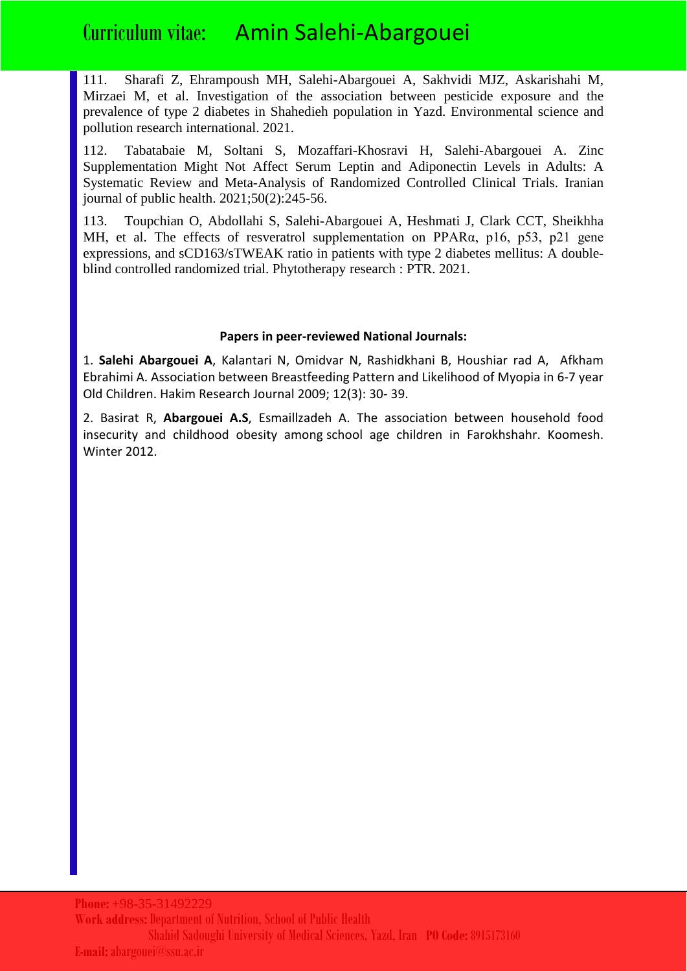111. Sharafi Z, Ehrampoush MH, Salehi-Abargouei A, Sakhvidi MJZ, Askarishahi M, Mirzaei M, et al. Investigation of the association between pesticide exposure and the prevalence of type 2 diabetes in Shahedieh population in Yazd. Environmental science and pollution research international. 2021.

112. Tabatabaie M, Soltani S, Mozaffari-Khosravi H, Salehi-Abargouei A. Zinc Supplementation Might Not Affect Serum Leptin and Adiponectin Levels in Adults: A Systematic Review and Meta-Analysis of Randomized Controlled Clinical Trials. Iranian journal of public health. 2021;50(2):245-56.

113. Toupchian O, Abdollahi S, Salehi-Abargouei A, Heshmati J, Clark CCT, Sheikhha MH, et al. The effects of resveratrol supplementation on PPARα, p16, p53, p21 gene expressions, and sCD163/sTWEAK ratio in patients with type 2 diabetes mellitus: A doubleblind controlled randomized trial. Phytotherapy research : PTR. 2021.

#### **Papers in peer-reviewed National Journals:**

1. **Salehi Abargouei A**, Kalantari N, Omidvar N, Rashidkhani B, Houshiar rad A, Afkham Ebrahimi A. Association between Breastfeeding Pattern and Likelihood of Myopia in 6-7 year Old Children. Hakim Research Journal 2009; 12(3): 30- 39.

2. Basirat R, **Abargouei A.S**, Esmaillzadeh A. The association between household food insecurity and childhood obesity among school age children in Farokhshahr. Koomesh. Winter 2012.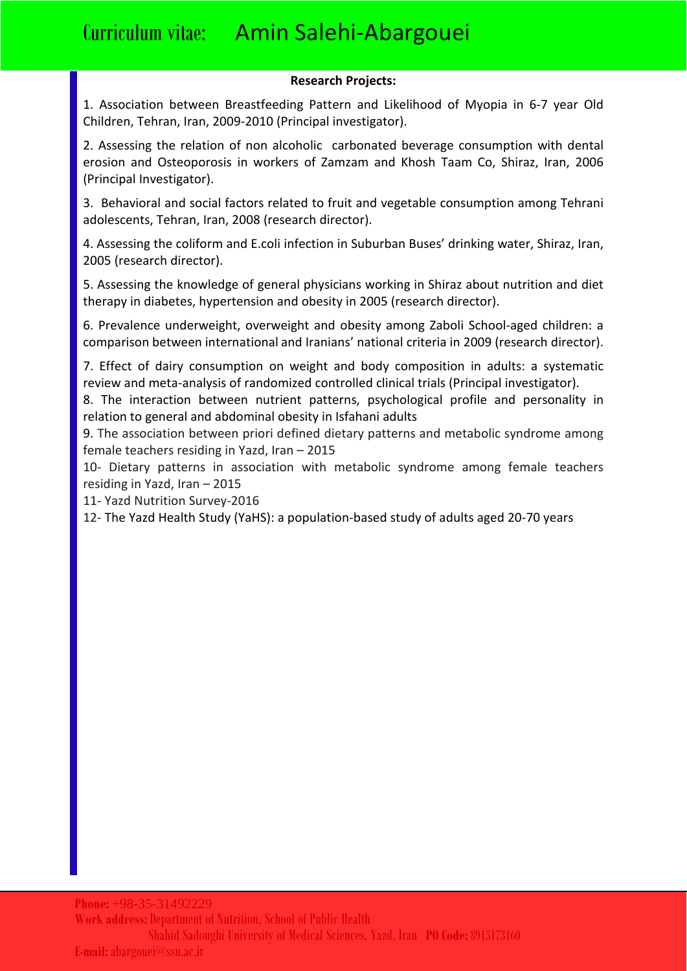#### **Research Projects:**

1. Association between Breastfeeding Pattern and Likelihood of Myopia in 6-7 year Old Children, Tehran, Iran, 2009-2010 (Principal investigator).

2. Assessing the relation of non alcoholic carbonated beverage consumption with dental erosion and Osteoporosis in workers of Zamzam and Khosh Taam Co, Shiraz, Iran, 2006 (Principal Investigator).

3. Behavioral and social factors related to fruit and vegetable consumption among Tehrani adolescents, Tehran, Iran, 2008 (research director).

4. Assessing the coliform and E.coli infection in Suburban Buses' drinking water, Shiraz, Iran, 2005 (research director).

5. Assessing the knowledge of general physicians working in Shiraz about nutrition and diet therapy in diabetes, hypertension and obesity in 2005 (research director).

6. Prevalence underweight, overweight and obesity among Zaboli School-aged children: a comparison between international and Iranians' national criteria in 2009 (research director).

7. Effect of dairy consumption on weight and body composition in adults: a systematic review and meta-analysis of randomized controlled clinical trials (Principal investigator).

8. The interaction between nutrient patterns, psychological profile and personality in relation to general and abdominal obesity in Isfahani adults

9. The association between priori defined dietary patterns and metabolic syndrome among female teachers residing in Yazd, Iran – 2015

10- Dietary patterns in association with metabolic syndrome among female teachers residing in Yazd, Iran – 2015

11- Yazd Nutrition Survey-2016

12- The Yazd Health Study (YaHS): a population-based study of adults aged 20-70 years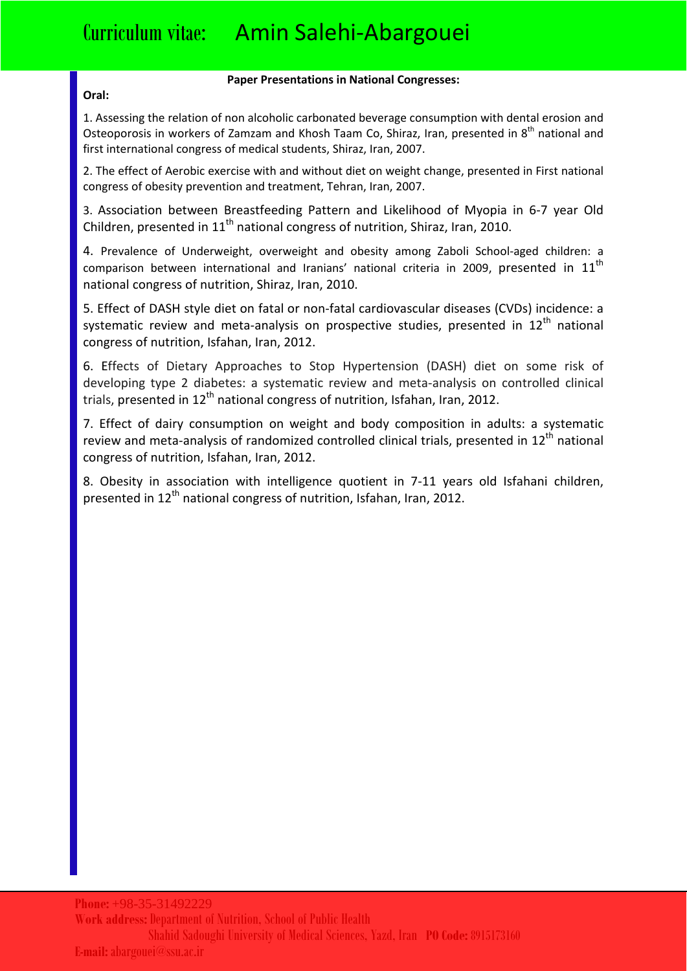#### **Paper Presentations in National Congresses:**

#### **Oral:**

1. Assessing the relation of non alcoholic carbonated beverage consumption with dental erosion and Osteoporosis in workers of Zamzam and Khosh Taam Co, Shiraz, Iran, presented in 8<sup>th</sup> national and first international congress of medical students, Shiraz, Iran, 2007.

2. The effect of Aerobic exercise with and without diet on weight change, presented in First national congress of obesity prevention and treatment, Tehran, Iran, 2007.

3. Association between Breastfeeding Pattern and Likelihood of Myopia in 6-7 year Old Children, presented in  $11<sup>th</sup>$  national congress of nutrition, Shiraz, Iran, 2010.

4. Prevalence of Underweight, overweight and obesity among Zaboli School-aged children: a comparison between international and Iranians' national criteria in 2009, presented in 11<sup>th</sup> national congress of nutrition, Shiraz, Iran, 2010.

5. Effect of DASH style diet on fatal or non-fatal cardiovascular diseases (CVDs) incidence: a systematic review and meta-analysis on prospective studies, presented in  $12<sup>th</sup>$  national congress of nutrition, Isfahan, Iran, 2012.

6. Effects of Dietary Approaches to Stop Hypertension (DASH) diet on some risk of developing type 2 diabetes: a systematic review and meta-analysis on controlled clinical trials, presented in  $12<sup>th</sup>$  national congress of nutrition, Isfahan, Iran, 2012.

7. Effect of dairy consumption on weight and body composition in adults: a systematic review and meta-analysis of randomized controlled clinical trials, presented in  $12<sup>th</sup>$  national congress of nutrition, Isfahan, Iran, 2012.

8. Obesity in association with intelligence quotient in 7-11 years old Isfahani children, presented in  $12^{th}$  national congress of nutrition, Isfahan, Iran, 2012.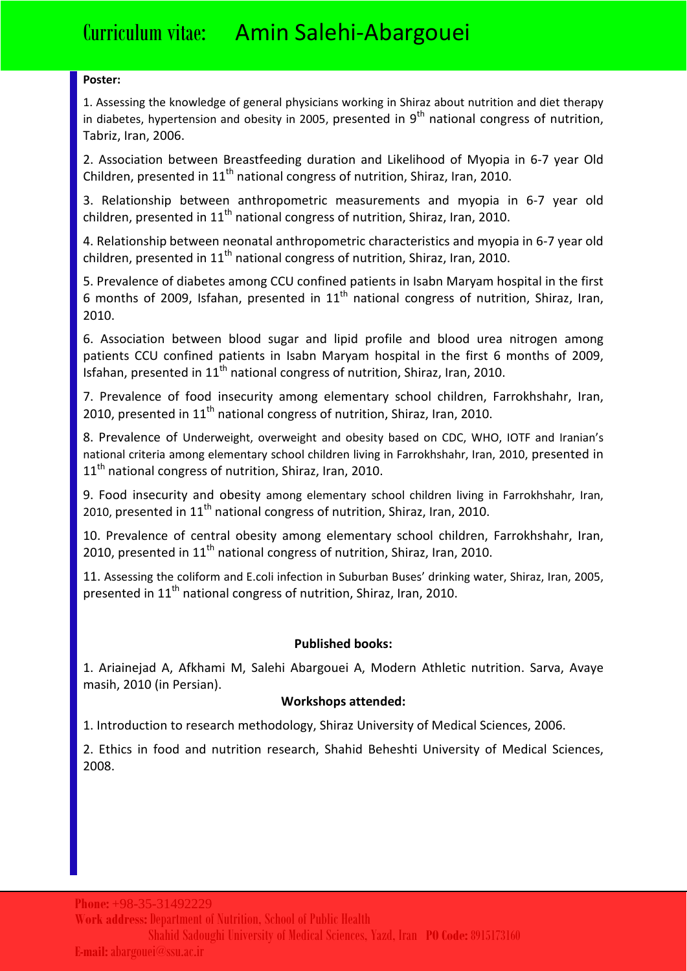#### **Poster:**

1. Assessing the knowledge of general physicians working in Shiraz about nutrition and diet therapy in diabetes, hypertension and obesity in 2005, presented in  $9<sup>th</sup>$  national congress of nutrition, Tabriz, Iran, 2006.

2. Association between Breastfeeding duration and Likelihood of Myopia in 6-7 year Old Children, presented in  $11<sup>th</sup>$  national congress of nutrition, Shiraz, Iran, 2010.

3. Relationship between anthropometric measurements and myopia in 6-7 year old children, presented in  $11<sup>th</sup>$  national congress of nutrition, Shiraz, Iran, 2010.

4. Relationship between neonatal anthropometric characteristics and myopia in 6-7 year old children, presented in  $11<sup>th</sup>$  national congress of nutrition, Shiraz, Iran, 2010.

5. Prevalence of diabetes among CCU confined patients in Isabn Maryam hospital in the first 6 months of 2009, Isfahan, presented in  $11<sup>th</sup>$  national congress of nutrition, Shiraz, Iran, 2010.

6. Association between blood sugar and lipid profile and blood urea nitrogen among patients CCU confined patients in Isabn Maryam hospital in the first 6 months of 2009, Isfahan, presented in  $11<sup>th</sup>$  national congress of nutrition, Shiraz, Iran, 2010.

7. Prevalence of food insecurity among elementary school children, Farrokhshahr, Iran, 2010, presented in  $11<sup>th</sup>$  national congress of nutrition, Shiraz, Iran, 2010.

8. Prevalence of Underweight, overweight and obesity based on CDC, WHO, IOTF and Iranian's national criteria among elementary school children living in Farrokhshahr, Iran, 2010, presented in  $11<sup>th</sup>$  national congress of nutrition, Shiraz, Iran, 2010.

9. Food insecurity and obesity among elementary school children living in Farrokhshahr, Iran, 2010, presented in  $11<sup>th</sup>$  national congress of nutrition, Shiraz, Iran, 2010.

10. Prevalence of central obesity among elementary school children, Farrokhshahr, Iran, 2010, presented in  $11<sup>th</sup>$  national congress of nutrition, Shiraz, Iran, 2010.

11. Assessing the coliform and E.coli infection in Suburban Buses' drinking water, Shiraz, Iran, 2005, presented in  $11<sup>th</sup>$  national congress of nutrition, Shiraz, Iran, 2010.

### **Published books:**

1. Ariainejad A, Afkhami M, Salehi Abargouei A, Modern Athletic nutrition. Sarva, Avaye masih, 2010 (in Persian).

### **Workshops attended:**

1. Introduction to research methodology, Shiraz University of Medical Sciences, 2006.

2. Ethics in food and nutrition research, Shahid Beheshti University of Medical Sciences, 2008.